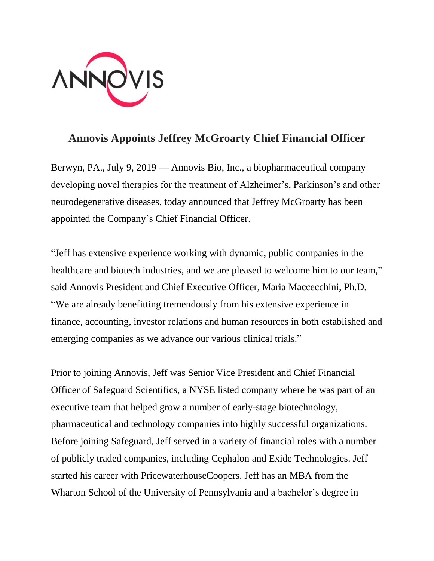

## **Annovis Appoints Jeffrey McGroarty Chief Financial Officer**

Berwyn, PA., July 9, 2019 — Annovis Bio, Inc., a biopharmaceutical company developing novel therapies for the treatment of Alzheimer's, Parkinson's and other neurodegenerative diseases, today announced that Jeffrey McGroarty has been appointed the Company's Chief Financial Officer.

"Jeff has extensive experience working with dynamic, public companies in the healthcare and biotech industries, and we are pleased to welcome him to our team," said Annovis President and Chief Executive Officer, Maria [Maccecchini,](http://qrpharma.com/about-us/) Ph.D. "We are already benefitting tremendously from his extensive experience in finance, accounting, investor relations and human resources in both established and emerging companies as we advance our various clinical trials."

Prior to joining Annovis, Jeff was Senior Vice President and Chief Financial Officer of Safeguard Scientifics, a NYSE listed company where he was part of an executive team that helped grow a number of early-stage biotechnology, pharmaceutical and technology companies into highly successful organizations. Before joining Safeguard, Jeff served in a variety of financial roles with a number of publicly traded companies, including Cephalon and Exide Technologies. Jeff started his career with PricewaterhouseCoopers. Jeff has an MBA from the Wharton School of the University of Pennsylvania and a bachelor's degree in